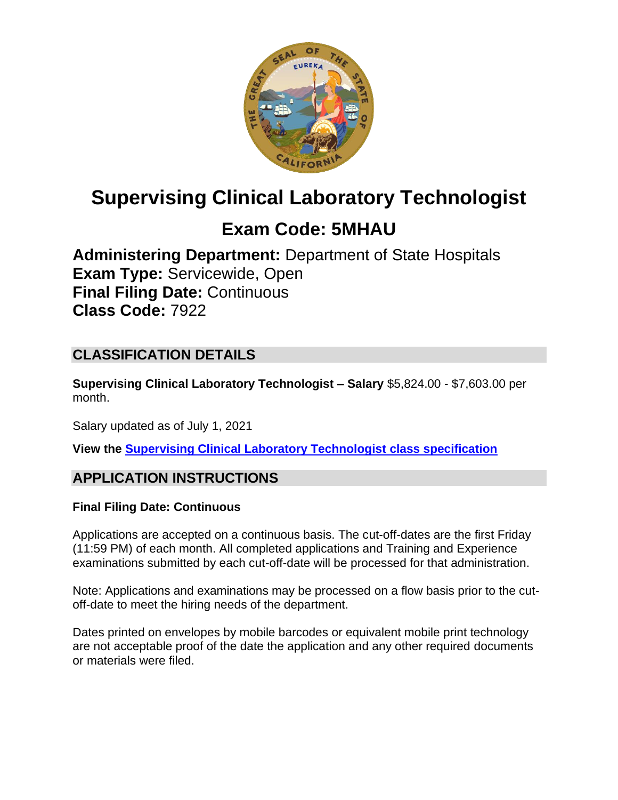

# **Supervising Clinical Laboratory Technologist**

# **Exam Code: 5MHAU**

**Administering Department:** Department of State Hospitals **Exam Type:** Servicewide, Open **Final Filing Date:** Continuous **Class Code:** 7922

# **CLASSIFICATION DETAILS**

**Supervising Clinical Laboratory Technologist – Salary** \$5,824.00 - \$7,603.00 per month.

Salary updated as of July 1, 2021

**View the [Supervising Clinical Laboratory Technologist](https://www.calhr.ca.gov/state-hr-professionals/Pages/7922.aspx) class specification**

# **APPLICATION INSTRUCTIONS**

#### **Final Filing Date: Continuous**

Applications are accepted on a continuous basis. The cut-off-dates are the first Friday (11:59 PM) of each month. All completed applications and Training and Experience examinations submitted by each cut-off-date will be processed for that administration.

Note: Applications and examinations may be processed on a flow basis prior to the cutoff-date to meet the hiring needs of the department.

Dates printed on envelopes by mobile barcodes or equivalent mobile print technology are not acceptable proof of the date the application and any other required documents or materials were filed.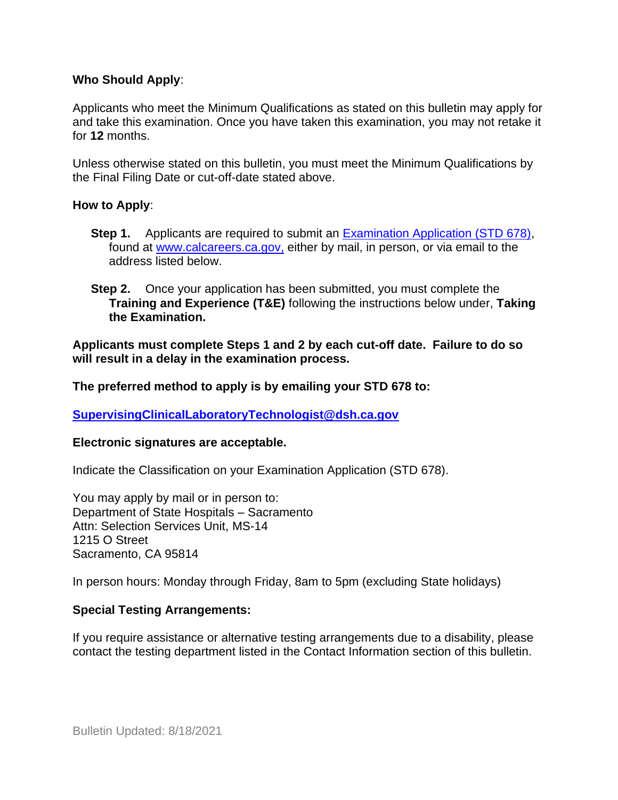#### **Who Should Apply**:

Applicants who meet the Minimum Qualifications as stated on this bulletin may apply for and take this examination. Once you have taken this examination, you may not retake it for **12** months.

Unless otherwise stated on this bulletin, you must meet the Minimum Qualifications by the Final Filing Date or cut-off-date stated above.

#### **How to Apply**:

- **Step 1.** Applicants are required to submit an [Examination Application \(STD 678\),](https://jobs.ca.gov/pdf/std678.pdf) found at [www.calcareers.ca.gov,](http://www.calcareers.ca.gov/) either by mail, in person, or via email to the address listed below.
- **Step 2.** Once your application has been submitted, you must complete the **Training and Experience (T&E)** following the instructions below under, **Taking the Examination.**

**Applicants must complete Steps 1 and 2 by each cut-off date. Failure to do so will result in a delay in the examination process.**

**The preferred method to apply is by emailing your STD 678 to:**

**[SupervisingClinicalLaboratoryTechnologist@dsh.ca.gov](mailto:SupervisingClinicalLaboratoryTechnologist@dsh.ca.gov)**

#### **Electronic signatures are acceptable.**

Indicate the Classification on your Examination Application (STD 678).

You may apply by mail or in person to: Department of State Hospitals – Sacramento Attn: Selection Services Unit, MS-14 1215 O Street Sacramento, CA 95814

In person hours: Monday through Friday, 8am to 5pm (excluding State holidays)

#### **Special Testing Arrangements:**

If you require assistance or alternative testing arrangements due to a disability, please contact the testing department listed in the Contact Information section of this bulletin.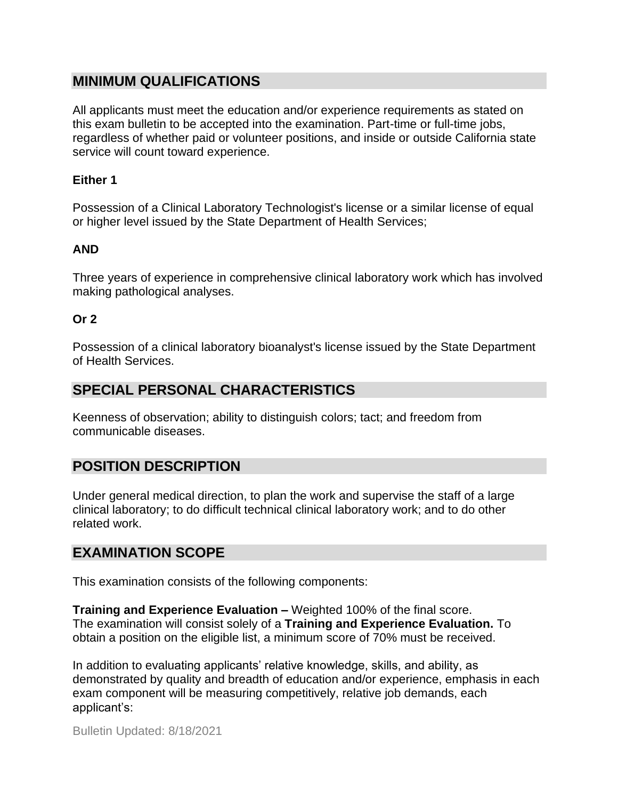## **MINIMUM QUALIFICATIONS**

All applicants must meet the education and/or experience requirements as stated on this exam bulletin to be accepted into the examination. Part-time or full-time jobs, regardless of whether paid or volunteer positions, and inside or outside California state service will count toward experience.

#### **Either 1**

Possession of a Clinical Laboratory Technologist's license or a similar license of equal or higher level issued by the State Department of Health Services;

#### **AND**

Three years of experience in comprehensive clinical laboratory work which has involved making pathological analyses.

#### **Or 2**

Possession of a clinical laboratory bioanalyst's license issued by the State Department of Health Services.

### **SPECIAL PERSONAL CHARACTERISTICS**

Keenness of observation; ability to distinguish colors; tact; and freedom from communicable diseases.

## **POSITION DESCRIPTION**

Under general medical direction, to plan the work and supervise the staff of a large clinical laboratory; to do difficult technical clinical laboratory work; and to do other related work.

#### **EXAMINATION SCOPE**

This examination consists of the following components:

**Training and Experience Evaluation –** Weighted 100% of the final score. The examination will consist solely of a **Training and Experience Evaluation.** To obtain a position on the eligible list, a minimum score of 70% must be received.

In addition to evaluating applicants' relative knowledge, skills, and ability, as demonstrated by quality and breadth of education and/or experience, emphasis in each exam component will be measuring competitively, relative job demands, each applicant's: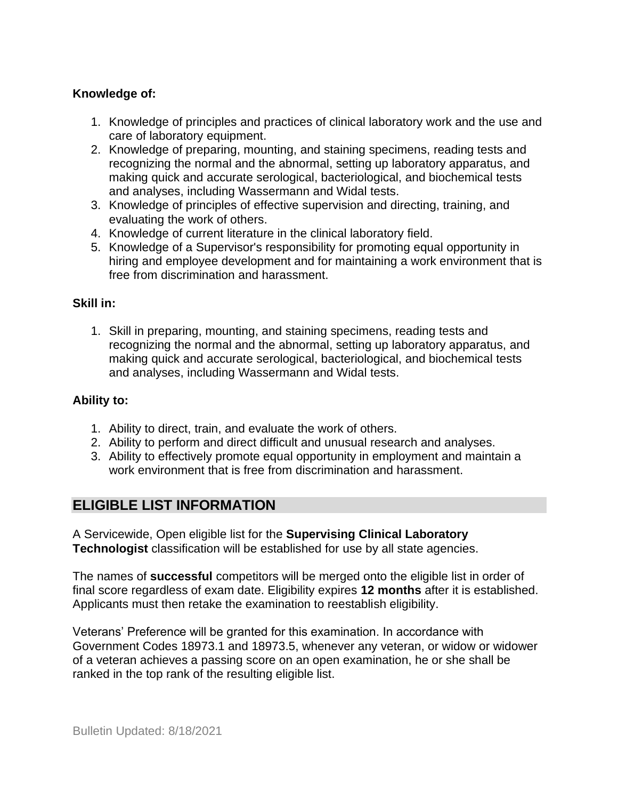### **Knowledge of:**

- 1. Knowledge of principles and practices of clinical laboratory work and the use and care of laboratory equipment.
- 2. Knowledge of preparing, mounting, and staining specimens, reading tests and recognizing the normal and the abnormal, setting up laboratory apparatus, and making quick and accurate serological, bacteriological, and biochemical tests and analyses, including Wassermann and Widal tests.
- 3. Knowledge of principles of effective supervision and directing, training, and evaluating the work of others.
- 4. Knowledge of current literature in the clinical laboratory field.
- 5. Knowledge of a Supervisor's responsibility for promoting equal opportunity in hiring and employee development and for maintaining a work environment that is free from discrimination and harassment.

#### **Skill in:**

1. Skill in preparing, mounting, and staining specimens, reading tests and recognizing the normal and the abnormal, setting up laboratory apparatus, and making quick and accurate serological, bacteriological, and biochemical tests and analyses, including Wassermann and Widal tests.

#### **Ability to:**

- 1. Ability to direct, train, and evaluate the work of others.
- 2. Ability to perform and direct difficult and unusual research and analyses.
- 3. Ability to effectively promote equal opportunity in employment and maintain a work environment that is free from discrimination and harassment.

# **ELIGIBLE LIST INFORMATION**

A Servicewide, Open eligible list for the **Supervising Clinical Laboratory Technologist** classification will be established for use by all state agencies.

The names of **successful** competitors will be merged onto the eligible list in order of final score regardless of exam date. Eligibility expires **12 months** after it is established. Applicants must then retake the examination to reestablish eligibility.

Veterans' Preference will be granted for this examination. In accordance with Government Codes 18973.1 and 18973.5, whenever any veteran, or widow or widower of a veteran achieves a passing score on an open examination, he or she shall be ranked in the top rank of the resulting eligible list.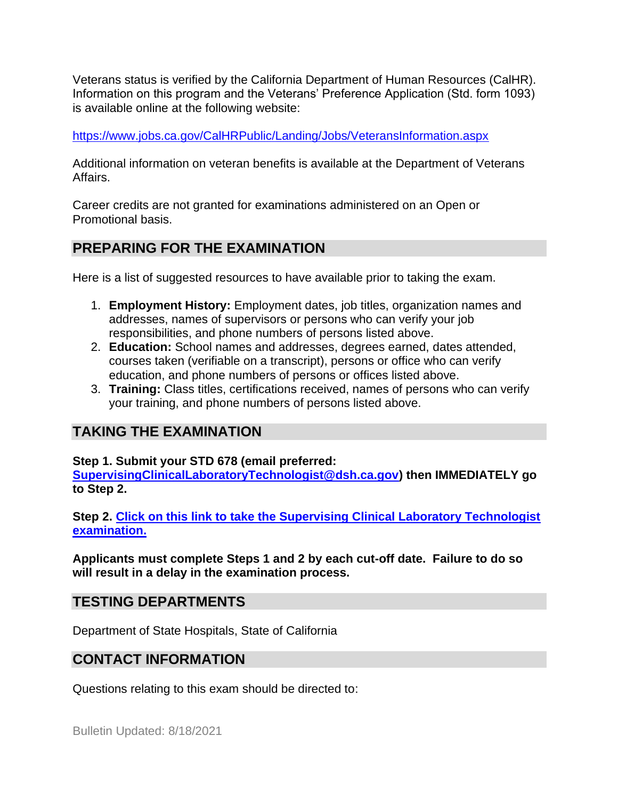Veterans status is verified by the California Department of Human Resources (CalHR). Information on this program and the Veterans' Preference Application (Std. form 1093) is available online at the following website:

<https://www.jobs.ca.gov/CalHRPublic/Landing/Jobs/VeteransInformation.aspx>

Additional information on veteran benefits is available at the Department of Veterans Affairs.

Career credits are not granted for examinations administered on an Open or Promotional basis.

# **PREPARING FOR THE EXAMINATION**

Here is a list of suggested resources to have available prior to taking the exam.

- 1. **Employment History:** Employment dates, job titles, organization names and addresses, names of supervisors or persons who can verify your job responsibilities, and phone numbers of persons listed above.
- 2. **Education:** School names and addresses, degrees earned, dates attended, courses taken (verifiable on a transcript), persons or office who can verify education, and phone numbers of persons or offices listed above.
- 3. **Training:** Class titles, certifications received, names of persons who can verify your training, and phone numbers of persons listed above.

# **TAKING THE EXAMINATION**

**Step 1. Submit your STD 678 (email preferred:** 

**[SupervisingClinicalLaboratoryTechnologist@dsh.ca.gov\)](mailto:SupervisingClinicalLaboratoryTechnologist@dsh.ca.gov) then IMMEDIATELY go to Step 2.**

**Step 2. [Click on this link to take the Supervising Clinical Laboratory Technologist](https://www.surveymonkey.com/r/2L5B5NF) [examination.](https://www.surveymonkey.com/r/2L5B5NF)**

**Applicants must complete Steps 1 and 2 by each cut-off date. Failure to do so will result in a delay in the examination process.**

# **TESTING DEPARTMENTS**

Department of State Hospitals, State of California

# **CONTACT INFORMATION**

Questions relating to this exam should be directed to:

Bulletin Updated: 8/18/2021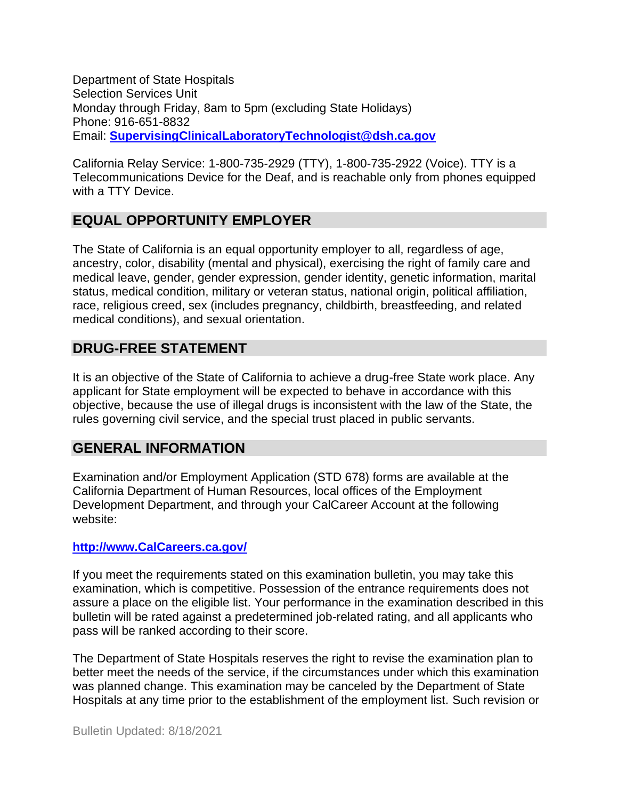Department of State Hospitals Selection Services Unit Monday through Friday, 8am to 5pm (excluding State Holidays) Phone: 916-651-8832 Email: **[SupervisingClinicalLaboratoryTechnologist@dsh.ca.gov](mailto:SupervisingClinicalLaboratoryTechnologist@dsh.ca.gov)**

California Relay Service: 1-800-735-2929 (TTY), 1-800-735-2922 (Voice). TTY is a Telecommunications Device for the Deaf, and is reachable only from phones equipped with a TTY Device.

## **EQUAL OPPORTUNITY EMPLOYER**

The State of California is an equal opportunity employer to all, regardless of age, ancestry, color, disability (mental and physical), exercising the right of family care and medical leave, gender, gender expression, gender identity, genetic information, marital status, medical condition, military or veteran status, national origin, political affiliation, race, religious creed, sex (includes pregnancy, childbirth, breastfeeding, and related medical conditions), and sexual orientation.

## **DRUG-FREE STATEMENT**

It is an objective of the State of California to achieve a drug-free State work place. Any applicant for State employment will be expected to behave in accordance with this objective, because the use of illegal drugs is inconsistent with the law of the State, the rules governing civil service, and the special trust placed in public servants.

## **GENERAL INFORMATION**

Examination and/or Employment Application (STD 678) forms are available at the California Department of Human Resources, local offices of the Employment Development Department, and through your CalCareer Account at the following website:

#### **[http://www.CalCareers.ca.gov/](http://www.calcareers.ca.gov/)**

If you meet the requirements stated on this examination bulletin, you may take this examination, which is competitive. Possession of the entrance requirements does not assure a place on the eligible list. Your performance in the examination described in this bulletin will be rated against a predetermined job-related rating, and all applicants who pass will be ranked according to their score.

The Department of State Hospitals reserves the right to revise the examination plan to better meet the needs of the service, if the circumstances under which this examination was planned change. This examination may be canceled by the Department of State Hospitals at any time prior to the establishment of the employment list. Such revision or